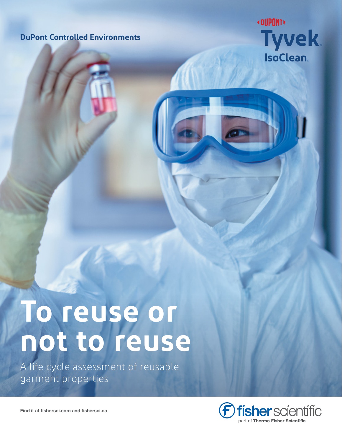# **DuPont Controlled Environments**



# **To reuse or not to reuse**

A life cycle assessment of reusable garment properties



**Find it at fishersci.com and fishersci.ca**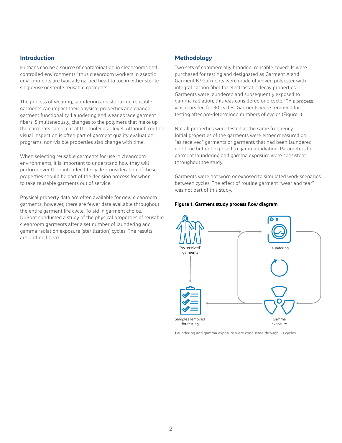# **Introduction**

Humans can be a source of contamination in cleanrooms and controlled environments;<sup>1</sup> thus cleanroom workers in aseptic environments are typically garbed head to toe in either sterile single-use or sterile reusable garments.<sup>2</sup>

The process of wearing, laundering and sterilizing reusable garments can impact their physical properties and change garment functionality. Laundering and wear abrade garment fibers. Simultaneously, changes to the polymers that make up the garments can occur at the molecular level. Although routine visual inspection is often part of garment quality evaluation programs, non-visible properties also change with time.

When selecting reusable garments for use in cleanroom environments, it is important to understand how they will perform over their intended life cycle. Consideration of these properties should be part of the decision process for when to take reusable garments out of service.

Physical property data are often available for new cleanroom garments; however, there are fewer data available throughout the entire garment life cycle. To aid in garment choice, DuPont conducted a study of the physical properties of reusable cleanroom garments after a set number of laundering and gamma radiation exposure (sterilization) cycles. The results are outlined here.

# **Methodology**

Two sets of commercially branded, reusable coveralls were purchased for testing and designated as Garment A and Garment B.<sup>3</sup> Garments were made of woven polyester with integral carbon fiber for electrostatic decay properties. Garments were laundered and subsequently exposed to gamma radiation; this was considered one cycle.<sup>4</sup> This process was repeated for 30 cycles. Garments were removed for testing after pre-determined numbers of cycles (Figure 1).

Not all properties were tested at the same frequency. Initial properties of the garments were either measured on "as received" garments or garments that had been laundered one time but not exposed to gamma radiation. Parameters for garment laundering and gamma exposure were consistent throughout the study.

Garments were not worn or exposed to simulated work scenarios between cycles. The effect of routine garment "wear and tear" was not part of this study.

#### **Figure 1. Garment study process flow diagram**



Laundering and gamma exposure were conducted through 30 cycles.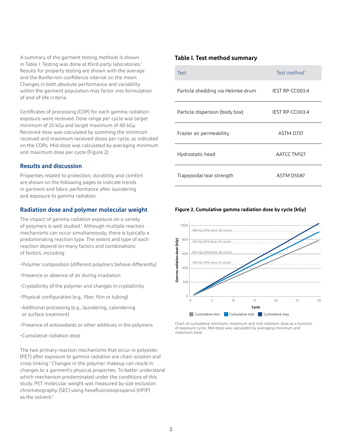A summary of the garment testing methods is shown in Table I. Testing was done at third-party laboratories.<sup>5</sup> Results for property testing are shown with the average and the Bonferroni confidence interval on the mean. Changes in both absolute performance and variability within the garment population may factor into formulation of end-of-life criteria.

Certificates of processing (COP) for each gamma radiation exposure were received. Dose range per cycle was target minimum of 25 kGy and target maximum of 40 kGy. Received dose was calculated by summing the minimum received and maximum received doses per cycle, as indicated on the COPs. Mid-dose was calculated by averaging minimum and maximum dose per cycle (Figure 2).

# **Results and discussion**

Properties related to protection, durability and comfort are shown on the following pages to indicate trends in garment and fabric performance after laundering and exposure to gamma radiation.

# **Radiation dose and polymer molecular weight**

The impact of gamma radiation exposure on a variety of polymers is well studied.<sup>6</sup> Although multiple reaction mechanisms can occur simultaneously, there is typically a predominating reaction type. The extent and type of each reaction depend on many factors and combinations of factors, including:

- •Polymer composition (different polymers behave differently)
- •Presence or absence of air during irradiation
- •Crystallinity of the polymer and changes in crystallinity
- •Physical configuration (e.g., fiber, film or tubing)
- •Additional processing (e.g., laundering, calendering or surface treatment)
- •Presence of antioxidants or other additives in the polymers
- •Cumulative radiation dose

The two primary reaction mechanisms that occur in polyester (PET) after exposure to gamma radiation are chain scission and cross linking.<sup>8</sup> Changes in the polymer makeup can result in changes to a garment's physical properties. To better understand which mechanism predominated under the conditions of this study, PET molecular weight was measured by size exclusion chromatography (SEC) using hexafluoroisopropanol (HFIP) as the solvent.<sup>9</sup>

### **Table I. Test method summary**

| <b>Test</b>                       | Test method <sup>7</sup> |
|-----------------------------------|--------------------------|
| Particle shedding via Helmke drum | <b>IEST RP-CC003.4</b>   |
| Particle dispersion (body box)    | IEST RP-CC003.4          |
| Frazier air permeability          | ASTM D737                |
| Hydrostatic head                  | AATCC TM127              |
| Trapezoidal tear strength         | <b>ASTM D5587</b>        |

#### **Figure 2. Cumulative gamma radiation dose by cycle (kGy)**



Chart of cumulative minimum, maximum and mid radiation dose as a function of exposure cycle. Mid-dose was calculated by averaging minimum and maximum dose.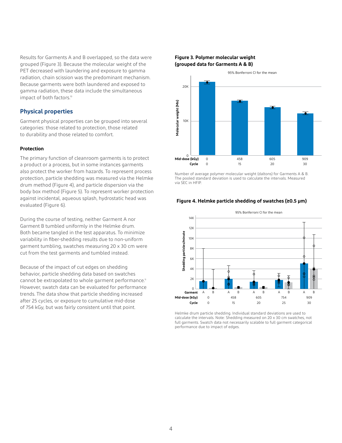Results for Garments A and B overlapped, so the data were grouped (Figure 3). Because the molecular weight of the PET decreased with laundering and exposure to gamma radiation, chain scission was the predominant mechanism. Because garments were both laundered and exposed to gamma radiation, these data include the simultaneous impact of both factors.<sup>10</sup>

# **Physical properties**

Garment physical properties can be grouped into several categories: those related to protection, those related to durability and those related to comfort.

#### **Protection**

The primary function of cleanroom garments is to protect a product or a process, but in some instances garments also protect the worker from hazards. To represent process protection, particle shedding was measured via the Helmke drum method (Figure 4), and particle dispersion via the body box method (Figure 5). To represent worker protection against incidental, aqueous splash, hydrostatic head was evaluated (Figure 6).

During the course of testing, neither Garment A nor Garment B tumbled uniformly in the Helmke drum. Both became tangled in the test apparatus. To minimize variability in fiber-shedding results due to non-uniform garment tumbling, swatches measuring 20 x 30 cm were cut from the test garments and tumbled instead.

Because of the impact of cut edges on shedding behavior, particle shedding data based on swatches cannot be extrapolated to whole garment performance.<sup>11</sup> However, swatch data can be evaluated for performance trends. The data show that particle shedding increased after 25 cycles, or exposure to cumulative mid-dose of 754 kGy, but was fairly consistent until that point.

#### **Figure 3. Polymer molecular weight (grouped data for Garments A & B)**



Number of average polymer molecular weight (daltons) for Garments A & B. The pooled standard deviation is used to calculate the intervals. Measured via SEC in HFIP.

#### **Figure 4. Helmke particle shedding of swatches (≥0.5 µm)**



Helmke drum particle shedding. Individual standard deviations are used to calculate the intervals. Note: Shedding measured on 20 x 30 cm swatches, not full garments. Swatch data not necessarily scalable to full garment categorical performance due to impact of edges.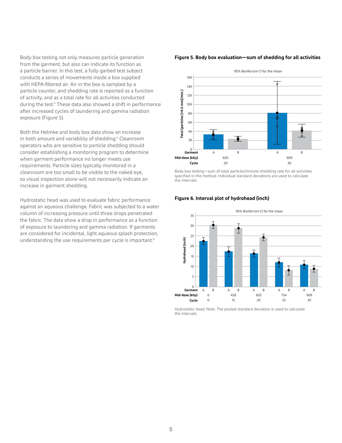Body box testing not only measures particle generation from the garment, but also can indicate its function as a particle barrier. In this test, a fully garbed test subject conducts a series of movements inside a box supplied with HEPA-filtered air. Air in the box is sampled by a particle counter, and shedding rate is reported as a function of activity, and as a total rate for all activities conducted during the test.<sup>2</sup> These data also showed a shift in performance after increased cycles of laundering and gamma radiation exposure (Figure 5).

Both the Helmke and body box data show an increase in both amount and variability of shedding.<sup>13</sup> Cleanroom operators who are sensitive to particle shedding should consider establishing a monitoring program to determine when garment performance no longer meets use requirements. Particle sizes typically monitored in a cleanroom are too small to be visible to the naked eye, so visual inspection alone will not necessarily indicate an increase in garment shedding.

Hydrostatic head was used to evaluate fabric performance against an aqueous challenge. Fabric was subjected to a water column of increasing pressure until three drops penetrated the fabric. The data show a drop in performance as a function of exposure to laundering and gamma radiation. If garments are considered for incidental, light aqueous splash protection, understanding the use requirements per cycle is important.<sup>14</sup>

#### **Figure 5. Body box evaluation—sum of shedding for all activities**



Body box testing—sum of total particles/minute shedding rate for all activities specified in the method. Individual standard deviations are used to calculate the intervals.

#### **Figure 6. Interval plot of hydrohead (inch)**



Hydrostatic head. Note: The pooled standard deviation is used to calculate the intervals.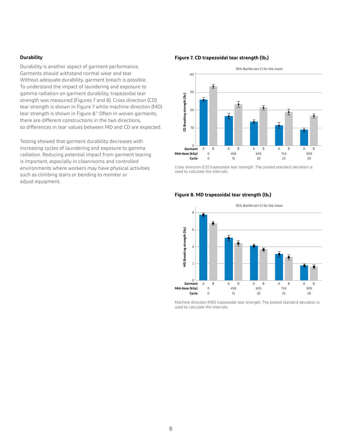#### **Durability**

Durability is another aspect of garment performance. Garments should withstand normal wear and tear. Without adequate durability, garment breach is possible. To understand the impact of laundering and exposure to gamma radiation on garment durability, trapezoidal tear strength was measured (Figures 7 and 8). Cross direction (CD) tear strength is shown in Figure 7 while machine direction (MD) tear strength is shown in Figure 8.<sup>15</sup> Often in woven garments, there are different constructions in the two directions, so differences in tear values between MD and CD are expected.

Testing showed that garment durability decreases with increasing cycles of laundering and exposure to gamma radiation. Reducing potential impact from garment tearing is important, especially in cleanrooms and controlled environments where workers may have physical activities such as climbing stairs or bending to monitor or adjust equipment.

#### **Figure 7. CD trapezoidal tear strength (lbƒ)**



Cross direction (CD) trapezoidal tear strength. The pooled standard deviation is used to calculate the intervals.

#### Figure 8. MD trapezoidal tear strength (lb<sub>f</sub>)



Machine direction (MD) trapezoidal tear strength. The pooled standard deviation is used to calculate the intervals.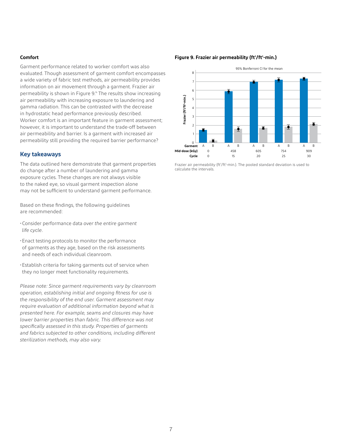#### **Comfort**

Garment performance related to worker comfort was also evaluated. Though assessment of garment comfort encompasses a wide variety of fabric test methods, air permeability provides information on air movement through a garment. Frazier air permeability is shown in Figure 9.<sup>16</sup> The results show increasing air permeability with increasing exposure to laundering and gamma radiation. This can be contrasted with the decrease in hydrostatic head performance previously described. Worker comfort is an important feature in garment assessment; however, it is important to understand the trade-off between air permeability and barrier. Is a garment with increased air permeability still providing the required barrier performance?

#### **Key takeaways**

The data outlined here demonstrate that garment properties do change after a number of laundering and gamma exposure cycles. These changes are not always visible to the naked eye, so visual garment inspection alone may not be sufficient to understand garment performance.

Based on these findings, the following guidelines are recommended:

- •Consider performance data *over the entire garment life cycle*.
- •Enact testing protocols to monitor the performance of garments as they age, based on the risk assessments and needs of each individual cleanroom.
- •Establish criteria for taking garments out of service when they no longer meet functionality requirements.

*Please note: Since garment requirements vary by cleanroom operation, establishing initial and ongoing fitness for use is the responsibility of the end user. Garment assessment may require evaluation of additional information beyond what is presented here. For example, seams and closures may have lower barrier properties than fabric. This difference was not specifically assessed in this study. Properties of garments and fabrics subjected to other conditions, including different sterilization methods, may also vary.*

#### Figure 9. Frazier air permeability (ft<sup>3</sup>/ft<sup>2</sup>-min.)



Frazier air permeability (ft<sup>3</sup>/ft<sup>2</sup>-min.). The pooled standard deviation is used to calculate the intervals.